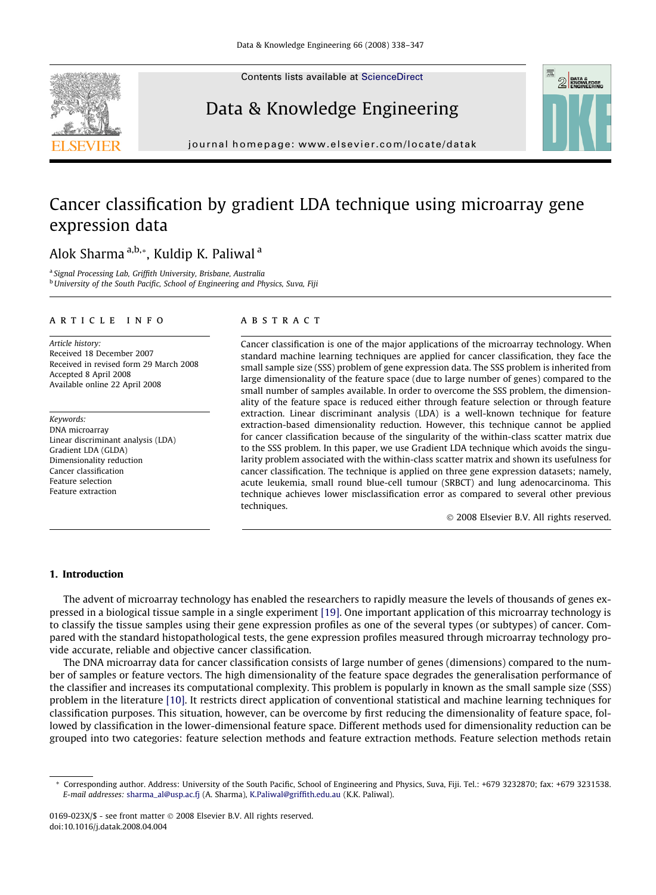Contents lists available at [ScienceDirect](http://www.sciencedirect.com/science/journal/0169023X)







journal homepage: [www.elsevier.com/locate/datak](http://www.elsevier.com/locate/datak)

# Cancer classification by gradient LDA technique using microarray gene expression data

## Alok Sharma a,b,\*, Kuldip K. Paliwal <sup>a</sup>

<sup>a</sup> Signal Processing Lab, Griffith University, Brisbane, Australia **b** University of the South Pacific, School of Engineering and Physics, Suva, Fiji

#### article info

Article history: Received 18 December 2007 Received in revised form 29 March 2008 Accepted 8 April 2008 Available online 22 April 2008

Keywords: DNA microarray Linear discriminant analysis (LDA) Gradient LDA (GLDA) Dimensionality reduction Cancer classification Feature selection Feature extraction

## **ABSTRACT**

Cancer classification is one of the major applications of the microarray technology. When standard machine learning techniques are applied for cancer classification, they face the small sample size (SSS) problem of gene expression data. The SSS problem is inherited from large dimensionality of the feature space (due to large number of genes) compared to the small number of samples available. In order to overcome the SSS problem, the dimensionality of the feature space is reduced either through feature selection or through feature extraction. Linear discriminant analysis (LDA) is a well-known technique for feature extraction-based dimensionality reduction. However, this technique cannot be applied for cancer classification because of the singularity of the within-class scatter matrix due to the SSS problem. In this paper, we use Gradient LDA technique which avoids the singularity problem associated with the within-class scatter matrix and shown its usefulness for cancer classification. The technique is applied on three gene expression datasets; namely, acute leukemia, small round blue-cell tumour (SRBCT) and lung adenocarcinoma. This technique achieves lower misclassification error as compared to several other previous techniques.

© 2008 Elsevier B.V. All rights reserved.

## 1. Introduction

The advent of microarray technology has enabled the researchers to rapidly measure the levels of thousands of genes expressed in a biological tissue sample in a single experiment [\[19\].](#page-9-0) One important application of this microarray technology is to classify the tissue samples using their gene expression profiles as one of the several types (or subtypes) of cancer. Compared with the standard histopathological tests, the gene expression profiles measured through microarray technology provide accurate, reliable and objective cancer classification.

The DNA microarray data for cancer classification consists of large number of genes (dimensions) compared to the number of samples or feature vectors. The high dimensionality of the feature space degrades the generalisation performance of the classifier and increases its computational complexity. This problem is popularly in known as the small sample size (SSS) problem in the literature [\[10\]](#page-8-0). It restricts direct application of conventional statistical and machine learning techniques for classification purposes. This situation, however, can be overcome by first reducing the dimensionality of feature space, followed by classification in the lower-dimensional feature space. Different methods used for dimensionality reduction can be grouped into two categories: feature selection methods and feature extraction methods. Feature selection methods retain

<sup>\*</sup> Corresponding author. Address: University of the South Pacific, School of Engineering and Physics, Suva, Fiji. Tel.: +679 3232870; fax: +679 3231538. E-mail addresses: [sharma\\_al@usp.ac.fj](mailto:sharma_al@usp.ac.fj) (A. Sharma), [K.Paliwal@griffith.edu.au](mailto:K.Paliwal@griffith.edu.au) (K.K. Paliwal).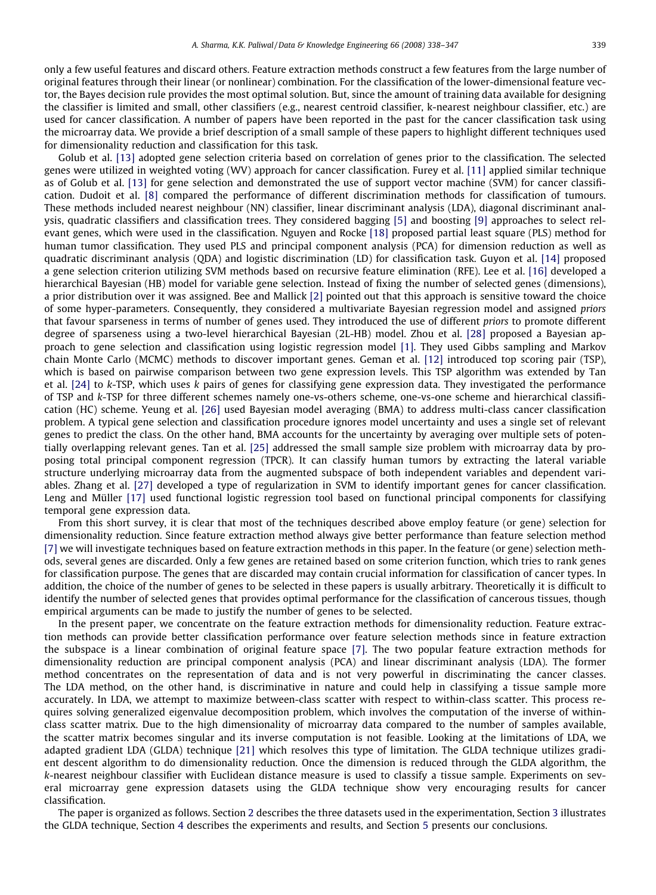only a few useful features and discard others. Feature extraction methods construct a few features from the large number of original features through their linear (or nonlinear) combination. For the classification of the lower-dimensional feature vector, the Bayes decision rule provides the most optimal solution. But, since the amount of training data available for designing the classifier is limited and small, other classifiers (e.g., nearest centroid classifier, k-nearest neighbour classifier, etc.) are used for cancer classification. A number of papers have been reported in the past for the cancer classification task using the microarray data. We provide a brief description of a small sample of these papers to highlight different techniques used for dimensionality reduction and classification for this task.

Golub et al. [\[13\]](#page-9-0) adopted gene selection criteria based on correlation of genes prior to the classification. The selected genes were utilized in weighted voting (WV) approach for cancer classification. Furey et al. [\[11\]](#page-8-0) applied similar technique as of Golub et al. [\[13\]](#page-9-0) for gene selection and demonstrated the use of support vector machine (SVM) for cancer classification. Dudoit et al. [\[8\]](#page-8-0) compared the performance of different discrimination methods for classification of tumours. These methods included nearest neighbour (NN) classifier, linear discriminant analysis (LDA), diagonal discriminant analysis, quadratic classifiers and classification trees. They considered bagging [\[5\]](#page-8-0) and boosting [\[9\]](#page-8-0) approaches to select relevant genes, which were used in the classification. Nguyen and Rocke [\[18\]](#page-9-0) proposed partial least square (PLS) method for human tumor classification. They used PLS and principal component analysis (PCA) for dimension reduction as well as quadratic discriminant analysis (QDA) and logistic discrimination (LD) for classification task. Guyon et al. [\[14\]](#page-9-0) proposed a gene selection criterion utilizing SVM methods based on recursive feature elimination (RFE). Lee et al. [\[16\]](#page-9-0) developed a hierarchical Bayesian (HB) model for variable gene selection. Instead of fixing the number of selected genes (dimensions), a prior distribution over it was assigned. Bee and Mallick [\[2\]](#page-8-0) pointed out that this approach is sensitive toward the choice of some hyper-parameters. Consequently, they considered a multivariate Bayesian regression model and assigned priors that favour sparseness in terms of number of genes used. They introduced the use of different priors to promote different degree of sparseness using a two-level hierarchical Bayesian (2L-HB) model. Zhou et al. [\[28\]](#page-9-0) proposed a Bayesian approach to gene selection and classification using logistic regression model [\[1\]](#page-8-0). They used Gibbs sampling and Markov chain Monte Carlo (MCMC) methods to discover important genes. Geman et al. [\[12\]](#page-8-0) introduced top scoring pair (TSP), which is based on pairwise comparison between two gene expression levels. This TSP algorithm was extended by Tan et al. [\[24\]](#page-9-0) to k-TSP, which uses k pairs of genes for classifying gene expression data. They investigated the performance of TSP and k-TSP for three different schemes namely one-vs-others scheme, one-vs-one scheme and hierarchical classification (HC) scheme. Yeung et al. [\[26\]](#page-9-0) used Bayesian model averaging (BMA) to address multi-class cancer classification problem. A typical gene selection and classification procedure ignores model uncertainty and uses a single set of relevant genes to predict the class. On the other hand, BMA accounts for the uncertainty by averaging over multiple sets of potentially overlapping relevant genes. Tan et al. [\[25\]](#page-9-0) addressed the small sample size problem with microarray data by proposing total principal component regression (TPCR). It can classify human tumors by extracting the lateral variable structure underlying microarray data from the augmented subspace of both independent variables and dependent variables. Zhang et al. [\[27\]](#page-9-0) developed a type of regularization in SVM to identify important genes for cancer classification. Leng and Müller [\[17\]](#page-9-0) used functional logistic regression tool based on functional principal components for classifying temporal gene expression data.

From this short survey, it is clear that most of the techniques described above employ feature (or gene) selection for dimensionality reduction. Since feature extraction method always give better performance than feature selection method [\[7\]](#page-8-0) we will investigate techniques based on feature extraction methods in this paper. In the feature (or gene) selection methods, several genes are discarded. Only a few genes are retained based on some criterion function, which tries to rank genes for classification purpose. The genes that are discarded may contain crucial information for classification of cancer types. In addition, the choice of the number of genes to be selected in these papers is usually arbitrary. Theoretically it is difficult to identify the number of selected genes that provides optimal performance for the classification of cancerous tissues, though empirical arguments can be made to justify the number of genes to be selected.

In the present paper, we concentrate on the feature extraction methods for dimensionality reduction. Feature extraction methods can provide better classification performance over feature selection methods since in feature extraction the subspace is a linear combination of original feature space [\[7\]](#page-8-0). The two popular feature extraction methods for dimensionality reduction are principal component analysis (PCA) and linear discriminant analysis (LDA). The former method concentrates on the representation of data and is not very powerful in discriminating the cancer classes. The LDA method, on the other hand, is discriminative in nature and could help in classifying a tissue sample more accurately. In LDA, we attempt to maximize between-class scatter with respect to within-class scatter. This process requires solving generalized eigenvalue decomposition problem, which involves the computation of the inverse of withinclass scatter matrix. Due to the high dimensionality of microarray data compared to the number of samples available, the scatter matrix becomes singular and its inverse computation is not feasible. Looking at the limitations of LDA, we adapted gradient LDA (GLDA) technique [\[21\]](#page-9-0) which resolves this type of limitation. The GLDA technique utilizes gradient descent algorithm to do dimensionality reduction. Once the dimension is reduced through the GLDA algorithm, the k-nearest neighbour classifier with Euclidean distance measure is used to classify a tissue sample. Experiments on several microarray gene expression datasets using the GLDA technique show very encouraging results for cancer classification.

The paper is organized as follows. Section 2 describes the three datasets used in the experimentation, Section 3 illustrates the GLDA technique, Section 4 describes the experiments and results, and Section 5 presents our conclusions.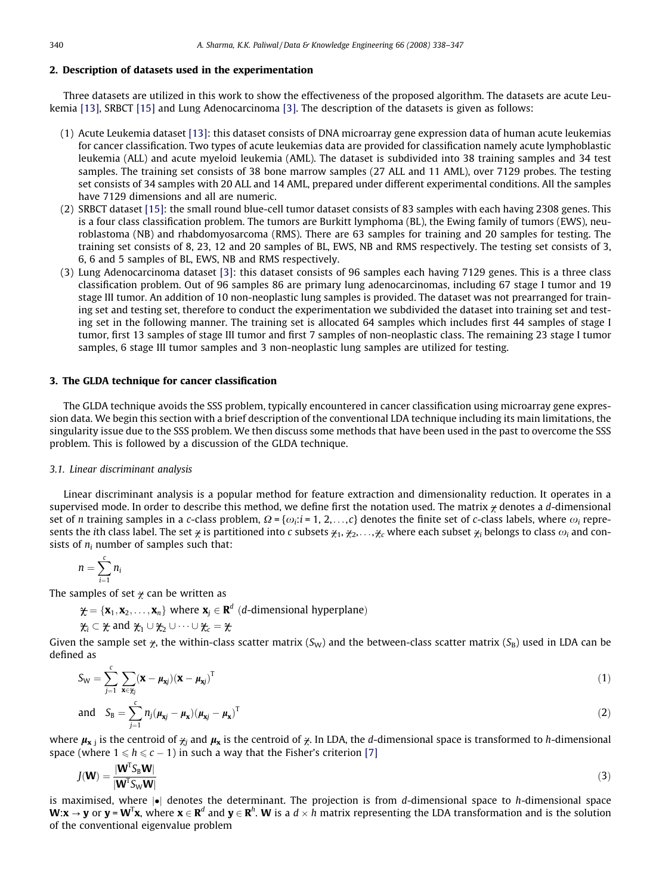## <span id="page-2-0"></span>2. Description of datasets used in the experimentation

Three datasets are utilized in this work to show the effectiveness of the proposed algorithm. The datasets are acute Leukemia [\[13\]](#page-9-0), SRBCT [\[15\]](#page-9-0) and Lung Adenocarcinoma [\[3\].](#page-8-0) The description of the datasets is given as follows:

- (1) Acute Leukemia dataset [\[13\]](#page-9-0): this dataset consists of DNA microarray gene expression data of human acute leukemias for cancer classification. Two types of acute leukemias data are provided for classification namely acute lymphoblastic leukemia (ALL) and acute myeloid leukemia (AML). The dataset is subdivided into 38 training samples and 34 test samples. The training set consists of 38 bone marrow samples (27 ALL and 11 AML), over 7129 probes. The testing set consists of 34 samples with 20 ALL and 14 AML, prepared under different experimental conditions. All the samples have 7129 dimensions and all are numeric.
- (2) SRBCT dataset [\[15\]:](#page-9-0) the small round blue-cell tumor dataset consists of 83 samples with each having 2308 genes. This is a four class classification problem. The tumors are Burkitt lymphoma (BL), the Ewing family of tumors (EWS), neuroblastoma (NB) and rhabdomyosarcoma (RMS). There are 63 samples for training and 20 samples for testing. The training set consists of 8, 23, 12 and 20 samples of BL, EWS, NB and RMS respectively. The testing set consists of 3, 6, 6 and 5 samples of BL, EWS, NB and RMS respectively.
- (3) Lung Adenocarcinoma dataset [\[3\]](#page-8-0): this dataset consists of 96 samples each having 7129 genes. This is a three class classification problem. Out of 96 samples 86 are primary lung adenocarcinomas, including 67 stage I tumor and 19 stage III tumor. An addition of 10 non-neoplastic lung samples is provided. The dataset was not prearranged for training set and testing set, therefore to conduct the experimentation we subdivided the dataset into training set and testing set in the following manner. The training set is allocated 64 samples which includes first 44 samples of stage I tumor, first 13 samples of stage III tumor and first 7 samples of non-neoplastic class. The remaining 23 stage I tumor samples, 6 stage III tumor samples and 3 non-neoplastic lung samples are utilized for testing.

#### 3. The GLDA technique for cancer classification

The GLDA technique avoids the SSS problem, typically encountered in cancer classification using microarray gene expression data. We begin this section with a brief description of the conventional LDA technique including its main limitations, the singularity issue due to the SSS problem. We then discuss some methods that have been used in the past to overcome the SSS problem. This is followed by a discussion of the GLDA technique.

#### 3.1. Linear discriminant analysis

Linear discriminant analysis is a popular method for feature extraction and dimensionality reduction. It operates in a supervised mode. In order to describe this method, we define first the notation used. The matrix  $\gamma$  denotes a d-dimensional set of n training samples in a c-class problem,  $\Omega = \{\omega_i : i = 1, 2, \ldots, c\}$  denotes the finite set of c-class labels, where  $\omega_i$  represents the ith class label. The set  $\chi$  is partitioned into c subsets  $\chi_1, \chi_2, \ldots, \chi_c$  where each subset  $\chi_i$  belongs to class  $\omega_i$  and consists of  $n_i$  number of samples such that:

$$
n=\sum_{i=1}^c n_i
$$

The samples of set  $\gamma$  can be written as

 $\mathbf{X} = {\mathbf{x}_1, \mathbf{x}_2, \dots, \mathbf{x}_n}$  where  $\mathbf{x}_i \in \mathbf{R}^d$  (*d*-dimensional hyperplane)

$$
\mathfrak{X}_i \subset \mathfrak{X} \text{ and } \mathfrak{X}_1 \cup \mathfrak{X}_2 \cup \cdots \cup \mathfrak{X}_c = \mathfrak{X}
$$

Given the sample set  $\gamma$ , the within-class scatter matrix (S<sub>W</sub>) and the between-class scatter matrix (S<sub>B</sub>) used in LDA can be defined as

$$
S_{\mathbf{W}} = \sum_{j=1}^{c} \sum_{\mathbf{x} \in \mathcal{H}_j} (\mathbf{x} - \boldsymbol{\mu}_{\mathbf{x}j})(\mathbf{x} - \boldsymbol{\mu}_{\mathbf{x}j})^{\mathrm{T}}
$$
  
and 
$$
S_{\mathbf{B}} = \sum_{j=1}^{c} n_j (\boldsymbol{\mu}_{\mathbf{x}j} - \boldsymbol{\mu}_{\mathbf{x}}) (\boldsymbol{\mu}_{\mathbf{x}j} - \boldsymbol{\mu}_{\mathbf{x}})^{\mathrm{T}}
$$
 (2)

where  $\mu_{x}$  is the centroid of  $\pi_j$  and  $\mu_x$  is the centroid of  $\pi$ . In LDA, the d-dimensional space is transformed to h-dimensional space (where  $1 \le h \le c - 1$ ) in such a way that the Fisher's criterion [\[7\]](#page-8-0)

$$
J(\mathbf{W}) = \frac{|\mathbf{W}^{\mathrm{T}} S_{\mathrm{B}} \mathbf{W}|}{|\mathbf{W}^{\mathrm{T}} S_{\mathrm{W}} \mathbf{W}|}
$$
(3)

is maximised, where  $|\bullet|$  denotes the determinant. The projection is from d-dimensional space to h-dimensional space  $W{:}x\to y$  or  $y$  =  $W^Tx$ , where  $x\in R^d$  and  $y\in R^h.$   $W$  is a  $d\times h$  matrix representing the LDA transformation and is the solution of the conventional eigenvalue problem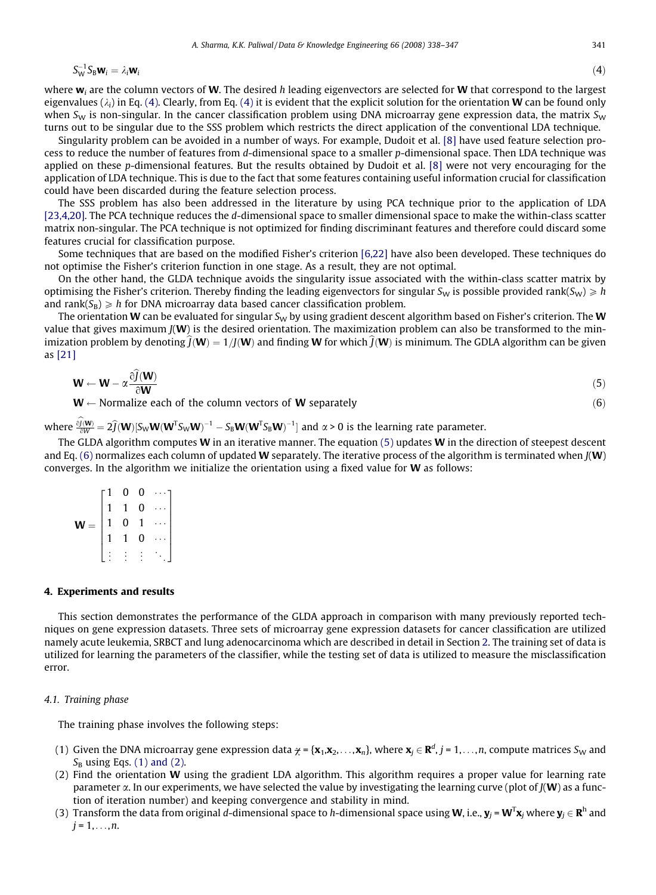$$
S_{\rm W}^{-1}S_{\rm B}W_i=\lambda_iW_i\tag{4}
$$

where  $w_i$  are the column vectors of W. The desired h leading eigenvectors are selected for W that correspond to the largest eigenvalues ( $\lambda_i$ ) in Eq. (4). Clearly, from Eq. (4) it is evident that the explicit solution for the orientation W can be found only when S<sub>W</sub> is non-singular. In the cancer classification problem using DNA microarray gene expression data, the matrix S<sub>W</sub> turns out to be singular due to the SSS problem which restricts the direct application of the conventional LDA technique.

Singularity problem can be avoided in a number of ways. For example, Dudoit et al. [\[8\]](#page-8-0) have used feature selection process to reduce the number of features from d-dimensional space to a smaller p-dimensional space. Then LDA technique was applied on these p-dimensional features. But the results obtained by Dudoit et al. [\[8\]](#page-8-0) were not very encouraging for the application of LDA technique. This is due to the fact that some features containing useful information crucial for classification could have been discarded during the feature selection process.

The SSS problem has also been addressed in the literature by using PCA technique prior to the application of LDA [\[23,4,20\]](#page-9-0). The PCA technique reduces the d-dimensional space to smaller dimensional space to make the within-class scatter matrix non-singular. The PCA technique is not optimized for finding discriminant features and therefore could discard some features crucial for classification purpose.

Some techniques that are based on the modified Fisher's criterion [\[6,22\]](#page-8-0) have also been developed. These techniques do not optimise the Fisher's criterion function in one stage. As a result, they are not optimal.

On the other hand, the GLDA technique avoids the singularity issue associated with the within-class scatter matrix by optimising the Fisher's criterion. Thereby finding the leading eigenvectors for singular S<sub>W</sub> is possible provided rank(S<sub>W</sub>)  $\geq h$ and rank( $S_B$ )  $\geq h$  for DNA microarray data based cancer classification problem.

The orientation W can be evaluated for singular  $S_W$  by using gradient descent algorithm based on Fisher's criterion. The W value that gives maximum  $J(W)$  is the desired orientation. The maximization problem can also be transformed to the minimization problem by denoting  $\tilde{J}(\mathbf{W}) = 1/J(\mathbf{W})$  and finding W for which  $\tilde{J}(\mathbf{W})$  is minimum. The GDLA algorithm can be given as [\[21\]](#page-9-0)

$$
\mathbf{W} \leftarrow \mathbf{W} - \alpha \frac{\partial f(\mathbf{W})}{\partial \mathbf{W}} \tag{5}
$$

 $W \leftarrow$  Normalize each of the column vectors of W separately  $(6)$ 

where  $\frac{\partial J(\mathbf{W})}{\partial W} = 2\widehat{J}(\mathbf{W})[S_{\mathsf{W}}\mathbf{W}(\mathbf{W}^{\textsf{T}}S_{\mathsf{W}}\mathbf{W})^{-1} - S_{\mathsf{B}}\mathbf{W}(\mathbf{W}^{\textsf{T}}S_{\mathsf{B}}\mathbf{W})^{-1}]$  and  $\alpha$  > 0 is the learning rate parameter.

The GLDA algorithm computes  $W$  in an iterative manner. The equation (5) updates  $W$  in the direction of steepest descent and Eq. (6) normalizes each column of updated W separately. The iterative process of the algorithm is terminated when  $J(W)$ converges. In the algorithm we initialize the orientation using a fixed value for  $W$  as follows:

|   |                                                                   | $\left[\begin{matrix} 1 \\ 1 \\ 1 \end{matrix}\right]$ |
|---|-------------------------------------------------------------------|--------------------------------------------------------|
| W | $\begin{array}{ccc} 0 & 0 \\ 1 & 0 \\ 0 & 1 \\ 1 & 0 \end{array}$ |                                                        |
|   |                                                                   |                                                        |
|   |                                                                   |                                                        |

#### 4. Experiments and results

This section demonstrates the performance of the GLDA approach in comparison with many previously reported techniques on gene expression datasets. Three sets of microarray gene expression datasets for cancer classification are utilized namely acute leukemia, SRBCT and lung adenocarcinoma which are described in detail in Section 2. The training set of data is utilized for learning the parameters of the classifier, while the testing set of data is utilized to measure the misclassification error.

## 4.1. Training phase

The training phase involves the following steps:

- (1) Given the DNA microarray gene expression data  $\chi$  = { $\mathbf{x}_1,\mathbf{x}_2,\ldots,\mathbf{x}_n$ }, where  $\mathbf{x}_j\in\mathbf{R}^d$ ,  $j$  = 1,...,n, compute matrices S<sub>W</sub> and  $S_B$  using Eqs. [\(1\) and \(2\).](#page-2-0)
- (2) Find the orientation W using the gradient LDA algorithm. This algorithm requires a proper value for learning rate parameter  $\alpha$ . In our experiments, we have selected the value by investigating the learning curve (plot of  $J(W)$ ) as a function of iteration number) and keeping convergence and stability in mind.
- (3) Transform the data from original *d-*dimensional space to *h-*dimensional space using **W**, i.e.,  $y_j$  =  $\bm{W}^T\bm{x}_j$  where  $\bm{y}_j$   $\in$   $\bm{R}^{\text{h}}$  and  $j = 1, \ldots, n$ .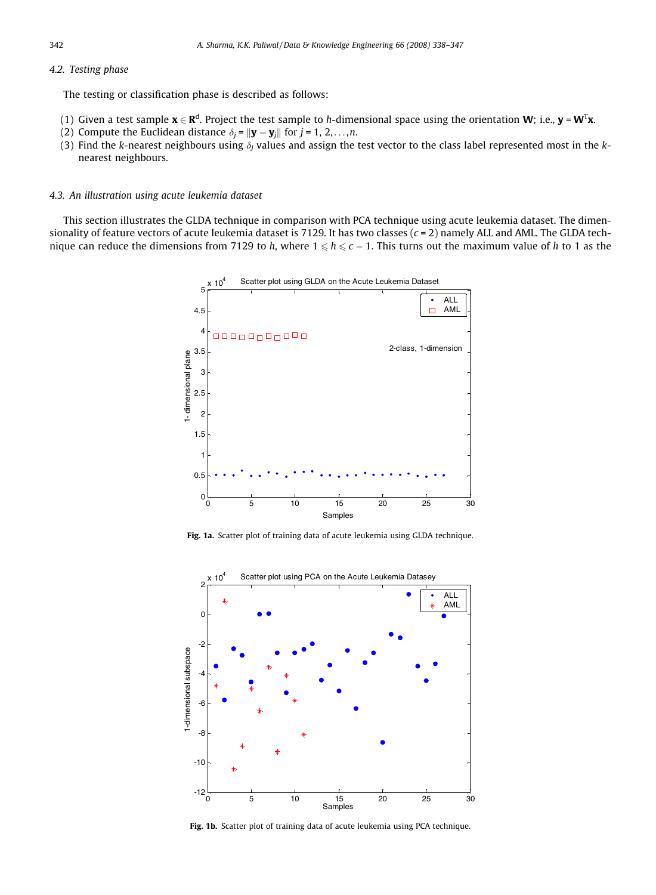## <span id="page-4-0"></span>4.2. Testing phase

The testing or classification phase is described as follows:

- (1) Given a test sample  $x \in R^d$ . Project the test sample to h-dimensional space using the orientation W; i.e.,  $y = W^Tx$ .
- (2) Compute the Euclidean distance  $\delta_i = ||\mathbf{y} \mathbf{y}_i||$  for  $j = 1, 2, \ldots, n$ .
- (3) Find the k-nearest neighbours using  $\delta_i$  values and assign the test vector to the class label represented most in the knearest neighbours.

## 4.3. An illustration using acute leukemia dataset

This section illustrates the GLDA technique in comparison with PCA technique using acute leukemia dataset. The dimensionality of feature vectors of acute leukemia dataset is 7129. It has two classes  $(c = 2)$  namely ALL and AML. The GLDA technique can reduce the dimensions from 7129 to h, where  $1 \le h \le c - 1$ . This turns out the maximum value of h to 1 as the



Fig. 1a. Scatter plot of training data of acute leukemia using GLDA technique.



Fig. 1b. Scatter plot of training data of acute leukemia using PCA technique.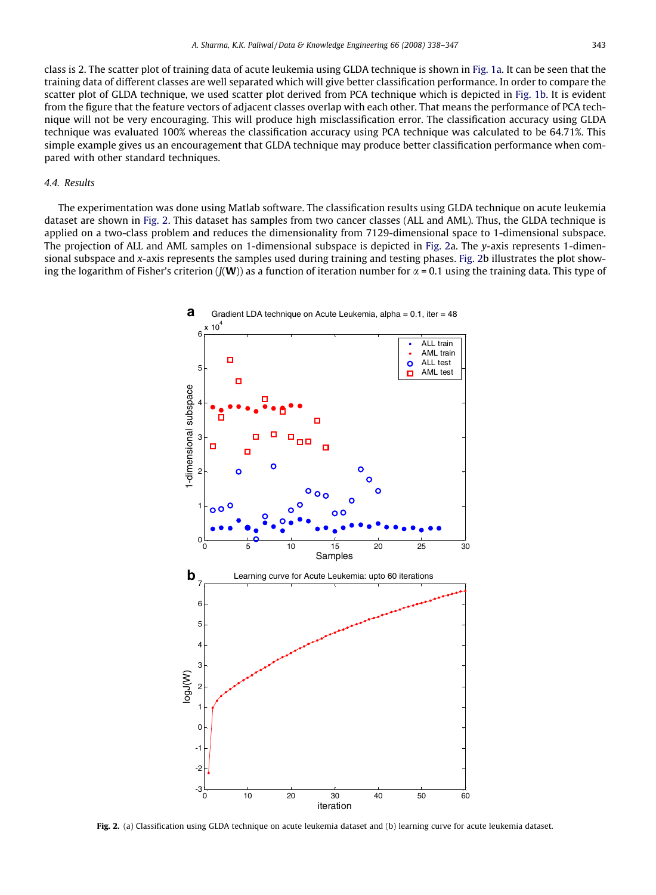<span id="page-5-0"></span>class is 2. The scatter plot of training data of acute leukemia using GLDA technique is shown in [Fig. 1a](#page-4-0). It can be seen that the training data of different classes are well separated which will give better classification performance. In order to compare the scatter plot of GLDA technique, we used scatter plot derived from PCA technique which is depicted in [Fig. 1b](#page-4-0). It is evident from the figure that the feature vectors of adjacent classes overlap with each other. That means the performance of PCA technique will not be very encouraging. This will produce high misclassification error. The classification accuracy using GLDA technique was evaluated 100% whereas the classification accuracy using PCA technique was calculated to be 64.71%. This simple example gives us an encouragement that GLDA technique may produce better classification performance when compared with other standard techniques.

## 4.4. Results

The experimentation was done using Matlab software. The classification results using GLDA technique on acute leukemia dataset are shown in Fig. 2. This dataset has samples from two cancer classes (ALL and AML). Thus, the GLDA technique is applied on a two-class problem and reduces the dimensionality from 7129-dimensional space to 1-dimensional subspace. The projection of ALL and AML samples on 1-dimensional subspace is depicted in Fig. 2a. The y-axis represents 1-dimensional subspace and x-axis represents the samples used during training and testing phases. Fig. 2b illustrates the plot showing the logarithm of Fisher's criterion  $J(W)$  as a function of iteration number for  $\alpha$  = 0.1 using the training data. This type of



Fig. 2. (a) Classification using GLDA technique on acute leukemia dataset and (b) learning curve for acute leukemia dataset.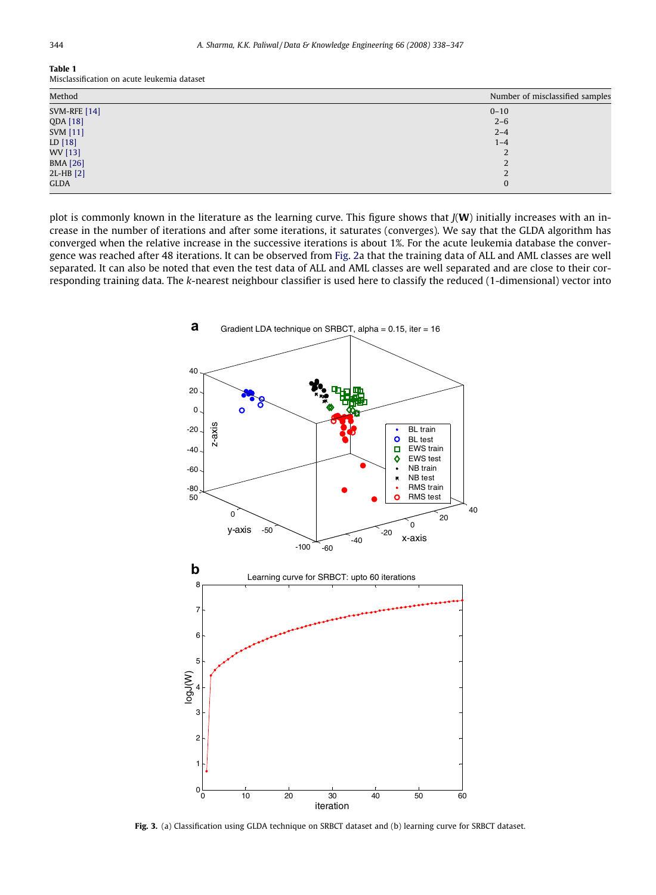<span id="page-6-0"></span>

| Table 1                                     |  |  |
|---------------------------------------------|--|--|
| Misclassification on acute leukemia dataset |  |  |

| Method              | Number of misclassified samples |
|---------------------|---------------------------------|
| <b>SVM-RFE</b> [14] | $0 - 10$                        |
| QDA [18]            | $2 - 6$                         |
| <b>SVM</b> [11]     | $2 - 4$                         |
| LD [18]             | $1 - 4$                         |
| WV [13]             | 2                               |
| <b>BMA</b> [26]     | 2                               |
| $2L-HB$ $[2]$       | 2                               |
| <b>GLDA</b>         | $\mathbf{0}$                    |

plot is commonly known in the literature as the learning curve. This figure shows that  $J(W)$  initially increases with an increase in the number of iterations and after some iterations, it saturates (converges). We say that the GLDA algorithm has converged when the relative increase in the successive iterations is about 1%. For the acute leukemia database the convergence was reached after 48 iterations. It can be observed from [Fig. 2](#page-5-0)a that the training data of ALL and AML classes are well separated. It can also be noted that even the test data of ALL and AML classes are well separated and are close to their corresponding training data. The k-nearest neighbour classifier is used here to classify the reduced (1-dimensional) vector into



Fig. 3. (a) Classification using GLDA technique on SRBCT dataset and (b) learning curve for SRBCT dataset.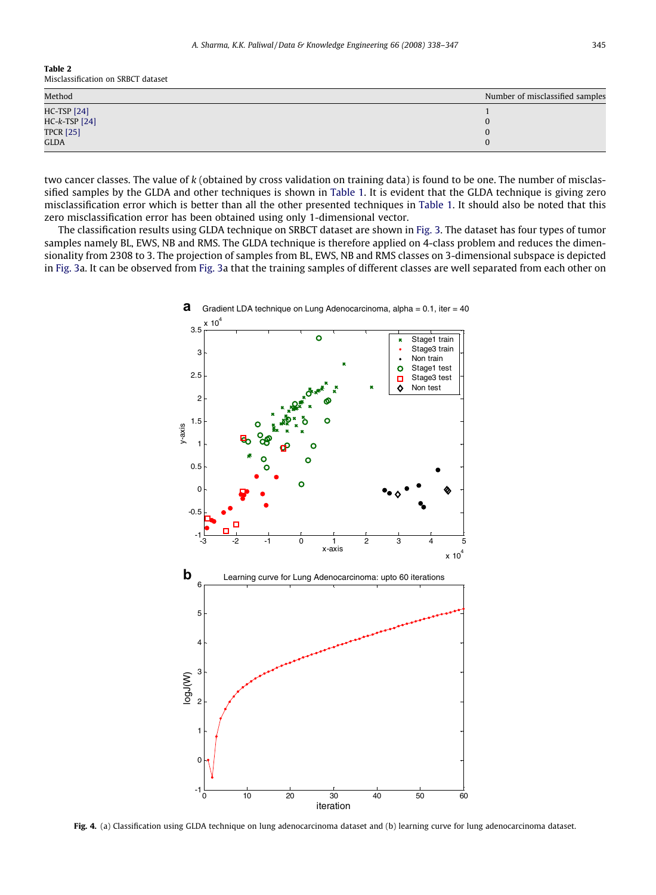<span id="page-7-0"></span>

| Table 2                            |  |  |
|------------------------------------|--|--|
| Misclassification on SRBCT dataset |  |  |

| Method             | Number of misclassified samples |
|--------------------|---------------------------------|
| <b>HC-TSP</b> [24] |                                 |
| $HC-k-TSP [24]$    |                                 |
| <b>TPCR [25]</b>   |                                 |
| <b>GLDA</b>        |                                 |

two cancer classes. The value of k (obtained by cross validation on training data) is found to be one. The number of misclassified samples by the GLDA and other techniques is shown in [Table 1](#page-6-0). It is evident that the GLDA technique is giving zero misclassification error which is better than all the other presented techniques in [Table 1.](#page-6-0) It should also be noted that this zero misclassification error has been obtained using only 1-dimensional vector.

The classification results using GLDA technique on SRBCT dataset are shown in [Fig. 3.](#page-6-0) The dataset has four types of tumor samples namely BL, EWS, NB and RMS. The GLDA technique is therefore applied on 4-class problem and reduces the dimensionality from 2308 to 3. The projection of samples from BL, EWS, NB and RMS classes on 3-dimensional subspace is depicted in [Fig. 3](#page-6-0)a. It can be observed from [Fig. 3](#page-6-0)a that the training samples of different classes are well separated from each other on



Fig. 4. (a) Classification using GLDA technique on lung adenocarcinoma dataset and (b) learning curve for lung adenocarcinoma dataset.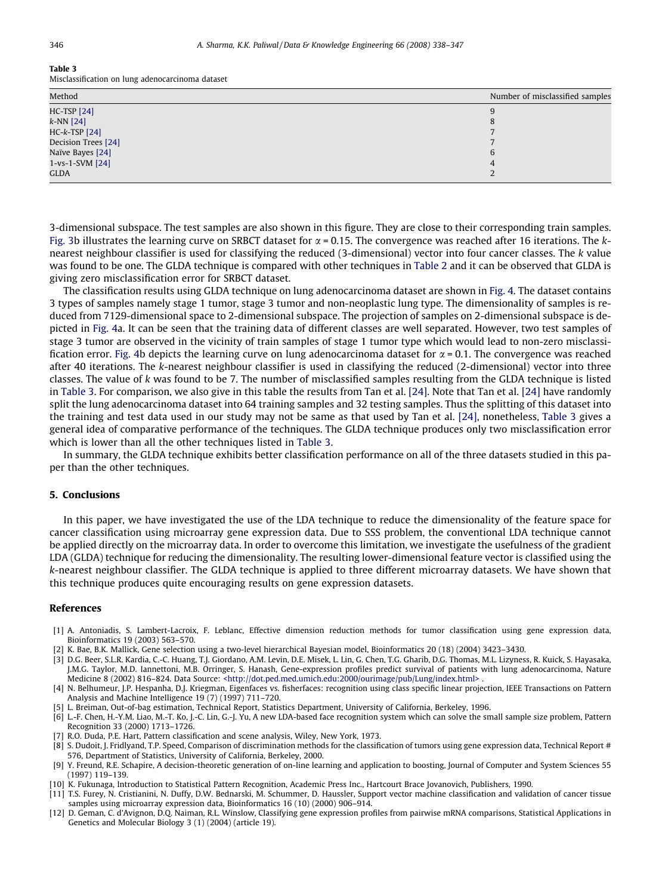#### <span id="page-8-0"></span>Table 3

Misclassification on lung adenocarcinoma dataset

| Method              | Number of misclassified samples |
|---------------------|---------------------------------|
| <b>HC-TSP</b> [24]  | 9                               |
| $k$ -NN [24]        | ŏ                               |
| $HC-k-TSP [24]$     |                                 |
| Decision Trees [24] |                                 |
| Naïve Bayes [24]    | b                               |
| 1-vs-1-SVM [24]     |                                 |
| <b>GLDA</b>         |                                 |
|                     |                                 |

3-dimensional subspace. The test samples are also shown in this figure. They are close to their corresponding train samples. [Fig. 3](#page-6-0)b illustrates the learning curve on SRBCT dataset for  $\alpha$  = 0.15. The convergence was reached after 16 iterations. The knearest neighbour classifier is used for classifying the reduced (3-dimensional) vector into four cancer classes. The k value was found to be one. The GLDA technique is compared with other techniques in [Table 2](#page-7-0) and it can be observed that GLDA is giving zero misclassification error for SRBCT dataset.

The classification results using GLDA technique on lung adenocarcinoma dataset are shown in [Fig. 4](#page-7-0). The dataset contains 3 types of samples namely stage 1 tumor, stage 3 tumor and non-neoplastic lung type. The dimensionality of samples is reduced from 7129-dimensional space to 2-dimensional subspace. The projection of samples on 2-dimensional subspace is depicted in [Fig. 4a](#page-7-0). It can be seen that the training data of different classes are well separated. However, two test samples of stage 3 tumor are observed in the vicinity of train samples of stage 1 tumor type which would lead to non-zero misclassi-fication error. [Fig. 4b](#page-7-0) depicts the learning curve on lung adenocarcinoma dataset for  $\alpha$  = 0.1. The convergence was reached after 40 iterations. The k-nearest neighbour classifier is used in classifying the reduced (2-dimensional) vector into three classes. The value of k was found to be 7. The number of misclassified samples resulting from the GLDA technique is listed in Table 3. For comparison, we also give in this table the results from Tan et al. [\[24\].](#page-9-0) Note that Tan et al. [\[24\]](#page-9-0) have randomly split the lung adenocarcinoma dataset into 64 training samples and 32 testing samples. Thus the splitting of this dataset into the training and test data used in our study may not be same as that used by Tan et al. [\[24\],](#page-9-0) nonetheless, Table 3 gives a general idea of comparative performance of the techniques. The GLDA technique produces only two misclassification error which is lower than all the other techniques listed in Table 3.

In summary, the GLDA technique exhibits better classification performance on all of the three datasets studied in this paper than the other techniques.

#### 5. Conclusions

In this paper, we have investigated the use of the LDA technique to reduce the dimensionality of the feature space for cancer classification using microarray gene expression data. Due to SSS problem, the conventional LDA technique cannot be applied directly on the microarray data. In order to overcome this limitation, we investigate the usefulness of the gradient LDA (GLDA) technique for reducing the dimensionality. The resulting lower-dimensional feature vector is classified using the k-nearest neighbour classifier. The GLDA technique is applied to three different microarray datasets. We have shown that this technique produces quite encouraging results on gene expression datasets.

## References

- [1] A. Antoniadis, S. Lambert-Lacroix, F. Leblanc, Effective dimension reduction methods for tumor classification using gene expression data, Bioinformatics 19 (2003) 563–570.
- K. Bae, B.K. Mallick, Gene selection using a two-level hierarchical Bayesian model, Bioinformatics 20 (18) (2004) 3423-3430.
- [3] D.G. Beer, S.L.R. Kardia, C.-C. Huang, T.J. Giordano, A.M. Levin, D.E. Misek, L. Lin, G. Chen, T.G. Gharib, D.G. Thomas, M.L. Lizyness, R. Kuick, S. Hayasaka, J.M.G. Taylor, M.D. Iannettoni, M.B. Orringer, S. Hanash, Gene-expression profiles predict survival of patients with lung adenocarcinoma, Nature Medicine 8 (2002) 816–824. Data Source: [<http://dot.ped.med.umich.edu:2000/ourimage/pub/Lung/index.html>](http://dot.ped.med.umich.edu:2000/ourimage/pub/Lung/index.html)
- [4] N. Belhumeur, J.P. Hespanha, D.J. Kriegman, Eigenfaces vs. fisherfaces: recognition using class specific linear projection, IEEE Transactions on Pattern Analysis and Machine Intelligence 19 (7) (1997) 711–720.
- [5] L. Breiman, Out-of-bag estimation, Technical Report, Statistics Department, University of California, Berkeley, 1996.
- [6] L.-F. Chen, H.-Y.M. Liao, M.-T. Ko, J.-C. Lin, G.-J. Yu, A new LDA-based face recognition system which can solve the small sample size problem, Pattern Recognition 33 (2000) 1713–1726.
- [7] R.O. Duda, P.E. Hart, Pattern classification and scene analysis, Wiley, New York, 1973.
- [8] S. Dudoit, J. Fridlyand, T.P. Speed, Comparison of discrimination methods for the classification of tumors using gene expression data, Technical Report # 576, Department of Statistics, University of California, Berkeley, 2000.
- [9] Y. Freund, R.E. Schapire, A decision-theoretic generation of on-line learning and application to boosting, Journal of Computer and System Sciences 55 (1997) 119–139.
- [10] K. Fukunaga, Introduction to Statistical Pattern Recognition, Academic Press Inc., Hartcourt Brace Jovanovich, Publishers, 1990.
- [11] T.S. Furey, N. Cristianini, N. Duffy, D.W. Bednarski, M. Schummer, D. Haussler, Support vector machine classification and validation of cancer tissue samples using microarray expression data, Bioinformatics 16 (10) (2000) 906–914.
- [12] D. Geman, C. d'Avignon, D.Q. Naiman, R.L. Winslow, Classifying gene expression profiles from pairwise mRNA comparisons, Statistical Applications in Genetics and Molecular Biology 3 (1) (2004) (article 19).